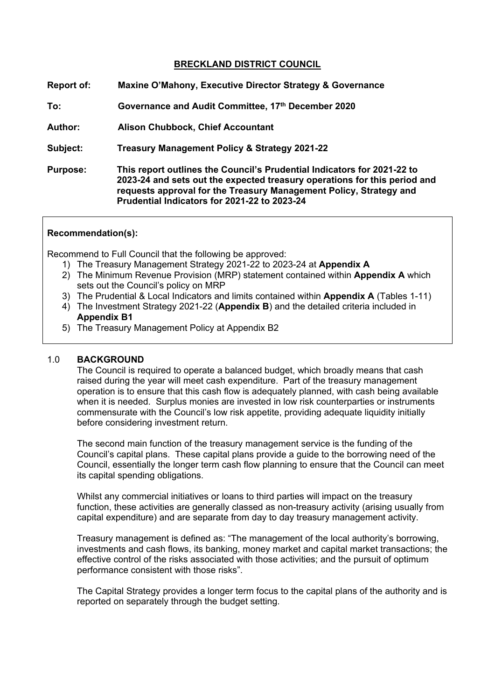# **BRECKLAND DISTRICT COUNCIL**

| <b>Report of:</b> | Maxine O'Mahony, Executive Director Strategy & Governance                                                                                                                                                                                                                  |
|-------------------|----------------------------------------------------------------------------------------------------------------------------------------------------------------------------------------------------------------------------------------------------------------------------|
| To:               | Governance and Audit Committee, 17th December 2020                                                                                                                                                                                                                         |
| <b>Author:</b>    | <b>Alison Chubbock, Chief Accountant</b>                                                                                                                                                                                                                                   |
| Subject:          | Treasury Management Policy & Strategy 2021-22                                                                                                                                                                                                                              |
| <b>Purpose:</b>   | This report outlines the Council's Prudential Indicators for 2021-22 to<br>2023-24 and sets out the expected treasury operations for this period and<br>requests approval for the Treasury Management Policy, Strategy and<br>Prudential Indicators for 2021-22 to 2023-24 |

#### **Recommendation(s):**

Recommend to Full Council that the following be approved:

- 1) The Treasury Management Strategy 2021-22 to 2023-24 at **Appendix A**
- 2) The Minimum Revenue Provision (MRP) statement contained within **Appendix A** which sets out the Council's policy on MRP
- 3) The Prudential & Local Indicators and limits contained within **Appendix A** (Tables 1-11)
- 4) The Investment Strategy 2021-22 (**Appendix B**) and the detailed criteria included in **Appendix B1**
- 5) The Treasury Management Policy at Appendix B2

#### 1.0 **BACKGROUND**

The Council is required to operate a balanced budget, which broadly means that cash raised during the year will meet cash expenditure. Part of the treasury management operation is to ensure that this cash flow is adequately planned, with cash being available when it is needed. Surplus monies are invested in low risk counterparties or instruments commensurate with the Council's low risk appetite, providing adequate liquidity initially before considering investment return.

The second main function of the treasury management service is the funding of the Council's capital plans. These capital plans provide a guide to the borrowing need of the Council, essentially the longer term cash flow planning to ensure that the Council can meet its capital spending obligations.

Whilst any commercial initiatives or loans to third parties will impact on the treasury function, these activities are generally classed as non-treasury activity (arising usually from capital expenditure) and are separate from day to day treasury management activity.

Treasury management is defined as: "The management of the local authority's borrowing, investments and cash flows, its banking, money market and capital market transactions; the effective control of the risks associated with those activities; and the pursuit of optimum performance consistent with those risks".

The Capital Strategy provides a longer term focus to the capital plans of the authority and is reported on separately through the budget setting.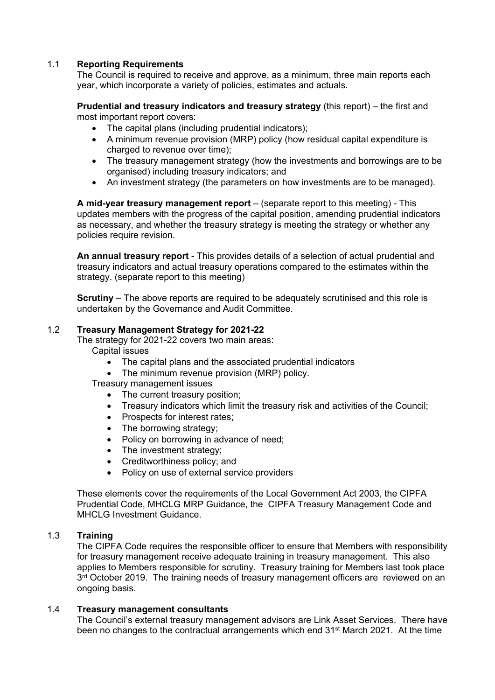# 1.1 **Reporting Requirements**

The Council is required to receive and approve, as a minimum, three main reports each year, which incorporate a variety of policies, estimates and actuals.

**Prudential and treasury indicators and treasury strategy** (this report) – the first and most important report covers:

- The capital plans (including prudential indicators);
- A minimum revenue provision (MRP) policy (how residual capital expenditure is charged to revenue over time):
- The treasury management strategy (how the investments and borrowings are to be organised) including treasury indicators; and
- An investment strategy (the parameters on how investments are to be managed).

**A mid-year treasury management report** – (separate report to this meeting) - This updates members with the progress of the capital position, amending prudential indicators as necessary, and whether the treasury strategy is meeting the strategy or whether any policies require revision.

**An annual treasury report** - This provides details of a selection of actual prudential and treasury indicators and actual treasury operations compared to the estimates within the strategy. (separate report to this meeting)

**Scrutiny** – The above reports are required to be adequately scrutinised and this role is undertaken by the Governance and Audit Committee.

# 1.2 **Treasury Management Strategy for 2021-22**

The strategy for 2021-22 covers two main areas:

- Capital issues
	- The capital plans and the associated prudential indicators
	- The minimum revenue provision (MRP) policy.
- Treasury management issues
	- The current treasury position;
	- Treasury indicators which limit the treasury risk and activities of the Council;
	- Prospects for interest rates;
	- The borrowing strategy;
	- Policy on borrowing in advance of need;
	- The investment strategy;
	- Creditworthiness policy; and
	- Policy on use of external service providers

These elements cover the requirements of the Local Government Act 2003, the CIPFA Prudential Code, MHCLG MRP Guidance, the CIPFA Treasury Management Code and MHCLG Investment Guidance.

# 1.3 **Training**

The CIPFA Code requires the responsible officer to ensure that Members with responsibility for treasury management receive adequate training in treasury management. This also applies to Members responsible for scrutiny. Treasury training for Members last took place 3<sup>rd</sup> October 2019. The training needs of treasury management officers are reviewed on an ongoing basis.

# 1.4 **Treasury management consultants**

The Council's external treasury management advisors are Link Asset Services. There have been no changes to the contractual arrangements which end 31st March 2021. At the time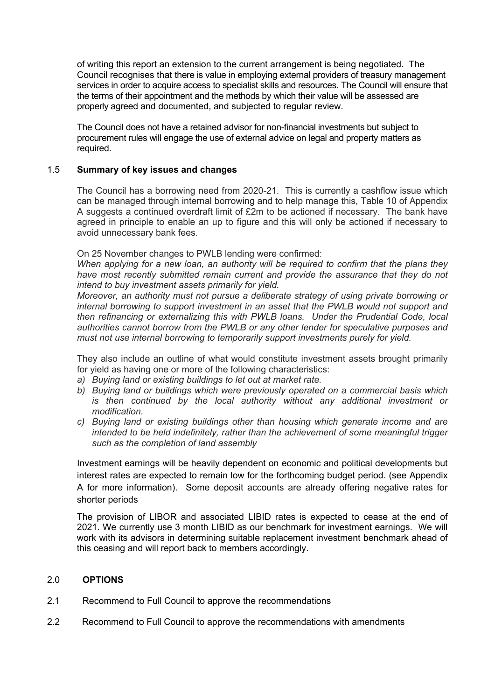of writing this report an extension to the current arrangement is being negotiated. The Council recognises that there is value in employing external providers of treasury management services in order to acquire access to specialist skills and resources. The Council will ensure that the terms of their appointment and the methods by which their value will be assessed are properly agreed and documented, and subjected to regular review.

The Council does not have a retained advisor for non-financial investments but subject to procurement rules will engage the use of external advice on legal and property matters as required.

## 1.5 **Summary of key issues and changes**

The Council has a borrowing need from 2020-21. This is currently a cashflow issue which can be managed through internal borrowing and to help manage this, Table 10 of Appendix A suggests a continued overdraft limit of £2m to be actioned if necessary. The bank have agreed in principle to enable an up to figure and this will only be actioned if necessary to avoid unnecessary bank fees.

On 25 November changes to PWLB lending were confirmed:

*When applying for a new loan, an authority will be required to confirm that the plans they have most recently submitted remain current and provide the assurance that they do not intend to buy investment assets primarily for yield.*

*Moreover, an authority must not pursue a deliberate strategy of using private borrowing or internal borrowing to support investment in an asset that the PWLB would not support and then refinancing or externalizing this with PWLB loans. Under the Prudential Code, local authorities cannot borrow from the PWLB or any other lender for speculative purposes and must not use internal borrowing to temporarily support investments purely for yield.*

They also include an outline of what would constitute investment assets brought primarily for yield as having one or more of the following characteristics:

- *a) Buying land or existing buildings to let out at market rate.*
- *b) Buying land or buildings which were previously operated on a commercial basis which is then continued by the local authority without any additional investment or modification.*
- *c) Buying land or existing buildings other than housing which generate income and are intended to be held indefinitely, rather than the achievement of some meaningful trigger such as the completion of land assembly*

Investment earnings will be heavily dependent on economic and political developments but interest rates are expected to remain low for the forthcoming budget period. (see Appendix A for more information). Some deposit accounts are already offering negative rates for shorter periods

The provision of LIBOR and associated LIBID rates is expected to cease at the end of 2021. We currently use 3 month LIBID as our benchmark for investment earnings. We will work with its advisors in determining suitable replacement investment benchmark ahead of this ceasing and will report back to members accordingly.

#### 2.0 **OPTIONS**

- 2.1 Recommend to Full Council to approve the recommendations
- 2.2 Recommend to Full Council to approve the recommendations with amendments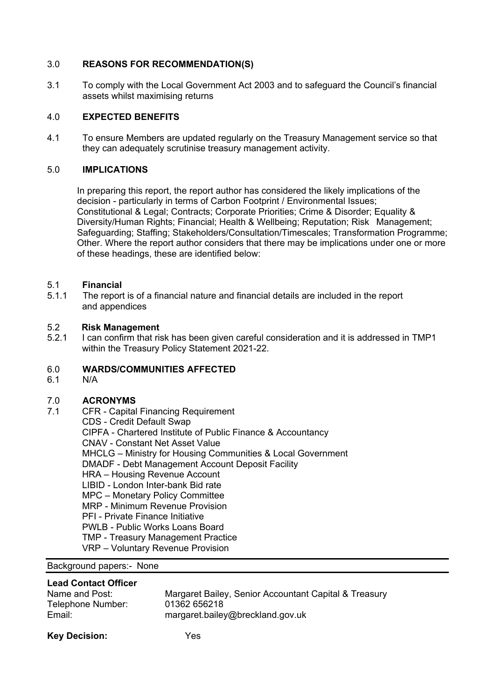# 3.0 **REASONS FOR RECOMMENDATION(S)**

3.1 To comply with the Local Government Act 2003 and to safeguard the Council's financial assets whilst maximising returns

# 4.0 **EXPECTED BENEFITS**

4.1 To ensure Members are updated regularly on the Treasury Management service so that they can adequately scrutinise treasury management activity.

# 5.0 **IMPLICATIONS**

In preparing this report, the report author has considered the likely implications of the decision - particularly in terms of Carbon Footprint / Environmental Issues; Constitutional & Legal; Contracts; Corporate Priorities; Crime & Disorder; Equality & Diversity/Human Rights; Financial; Health & Wellbeing; Reputation; Risk Management; Safeguarding; Staffing; Stakeholders/Consultation/Timescales; Transformation Programme; Other. Where the report author considers that there may be implications under one or more of these headings, these are identified below:

# 5.1 **Financial**

5.1.1The report is of a financial nature and financial details are included in the report and appendices

#### 5.2 **Risk Management**

5.2.1 I can confirm that risk has been given careful consideration and it is addressed in TMP1 within the Treasury Policy Statement 2021-22.

# 6.0 **WARDS/COMMUNITIES AFFECTED**

6.1 N/A

# 7.0 **ACRONYMS**

7.1CFR - Capital Financing Requirement

CDS - Credit Default Swap

CIPFA - Chartered Institute of Public Finance & Accountancy

CNAV - Constant Net Asset Value

- MHCLG Ministry for Housing Communities & Local Government
- DMADF Debt Management Account Deposit Facility
- HRA Housing Revenue Account
- LIBID London Inter-bank Bid rate
- MPC Monetary Policy Committee
- MRP Minimum Revenue Provision
- PFI Private Finance Initiative

PWLB - Public Works Loans Board

TMP - Treasury Management Practice

VRP – Voluntary Revenue Provision

# Background papers:- None

## **Lead Contact Officer**

| Name and Post:    | Margaret Bailey, Senior Accountant Capital & Treasury |
|-------------------|-------------------------------------------------------|
| Telephone Number: | 01362 656218                                          |
| Email:            | margaret.bailey@breckland.gov.uk                      |

| <b>Key Decision:</b> | Yes |
|----------------------|-----|
|                      |     |